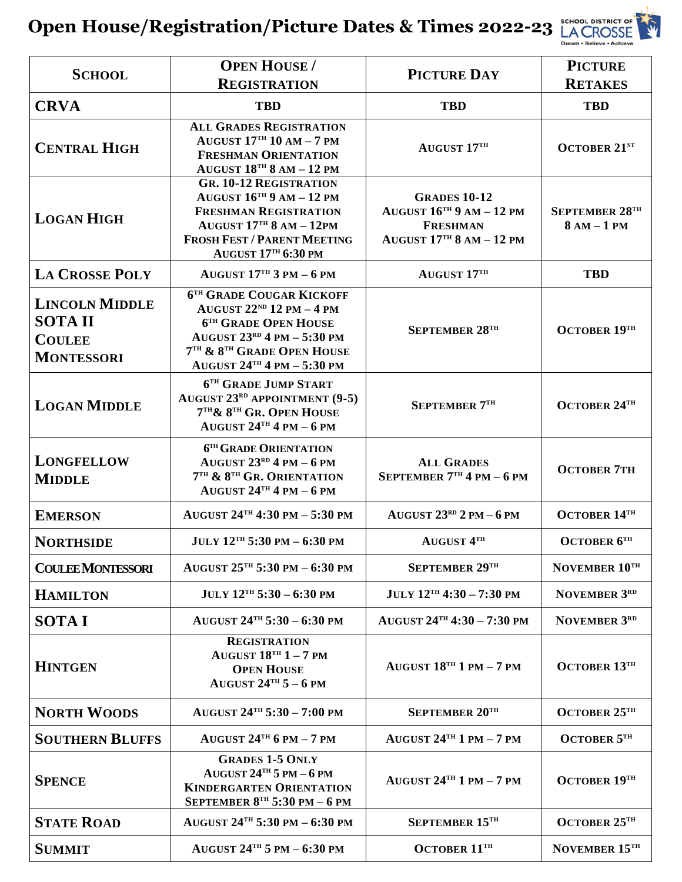

| <b>SCHOOL</b>                                                                | <b>OPEN HOUSE</b> /<br><b>REGISTRATION</b>                                                                                                                                                               | PICTURE DAY                                                                                             | <b>PICTURE</b><br><b>RETAKES</b>       |
|------------------------------------------------------------------------------|----------------------------------------------------------------------------------------------------------------------------------------------------------------------------------------------------------|---------------------------------------------------------------------------------------------------------|----------------------------------------|
| <b>CRVA</b>                                                                  | <b>TBD</b>                                                                                                                                                                                               | <b>TBD</b>                                                                                              | <b>TBD</b>                             |
| <b>CENTRAL HIGH</b>                                                          | <b>ALL GRADES REGISTRATION</b><br>AUGUST $17^{\text{th}}$ 10 AM - 7 PM<br><b>FRESHMAN ORIENTATION</b><br>AUGUST $18TH 8 AM - 12 PM$                                                                      | AUGUST 17TH                                                                                             | <b>OCTOBER 21ST</b>                    |
| <b>LOGAN HIGH</b>                                                            | <b>GR. 10-12 REGISTRATION</b><br>AUGUST $16^{TH}$ 9 AM $- 12$ PM<br><b>FRESHMAN REGISTRATION</b><br>AUGUST $17TH 8 AM - 12PM$<br><b>FROSH FEST / PARENT MEETING</b><br><b>AUGUST 17TH 6:30 PM</b>        | <b>GRADES 10-12</b><br>AUGUST $16^{TH}$ 9 AM $- 12$ PM<br><b>FRESHMAN</b><br>AUGUST $17TH 8 AM - 12 PM$ | <b>SEPTEMBER 28TH</b><br>$8 AM - 1 PM$ |
| <b>LA CROSSE POLY</b>                                                        | AUGUST $17TH$ 3 PM $-6$ PM                                                                                                                                                                               | AUGUST 17TH                                                                                             | <b>TBD</b>                             |
| <b>LINCOLN MIDDLE</b><br><b>SOTAII</b><br><b>COULEE</b><br><b>MONTESSORI</b> | <b>6TH GRADE COUGAR KICKOFF</b><br>AUGUST $22^{ND}$ 12 PM $-4$ PM<br><b>6TH GRADE OPEN HOUSE</b><br>AUGUST $23^{RD}$ 4 PM $-$ 5:30 PM<br>7TH & 8TH GRADE OPEN HOUSE<br>AUGUST $24^{TH}$ 4 PM $-$ 5:30 PM | SEPTEMBER 28TH                                                                                          | OCTOBER 19TH                           |
| <b>LOGAN MIDDLE</b>                                                          | 6TH GRADE JUMP START<br><b>AUGUST 23RD APPOINTMENT (9-5)</b><br>7TH & 8TH GR. OPEN HOUSE<br>AUGUST $24$ <sup>TH</sup> 4 PM $-6$ PM                                                                       | <b>SEPTEMBER 7TH</b>                                                                                    | <b>OCTOBER 24TH</b>                    |
| <b>LONGFELLOW</b><br><b>MIDDLE</b>                                           | 6TH GRADE ORIENTATION<br>AUGUST $23^{RD}$ 4 PM $-6$ PM<br>7TH & 8TH GR. ORIENTATION<br>AUGUST $24$ <sup>TH</sup> 4 PM $-6$ PM                                                                            | <b>ALL GRADES</b><br>SEPTEMBER $7TH$ 4 PM – 6 PM                                                        | <b>OCTOBER 7TH</b>                     |
| <b>EMERSON</b>                                                               | AUGUST $24$ <sup>TH</sup> 4:30 PM $-$ 5:30 PM                                                                                                                                                            | AUGUST $23^{RD}$ 2 PM $-6$ PM                                                                           | <b>OCTOBER 14TH</b>                    |
| <b>NORTHSIDE</b>                                                             | $JULY 12TH 5:30 PM - 6:30 PM$                                                                                                                                                                            | <b>AUGUST 4TH</b>                                                                                       | <b>OCTOBER 6TH</b>                     |
| <b>COULEE MONTESSORI</b>                                                     | AUGUST $25^{\text{th}}$ 5:30 PM $-6:30$ PM                                                                                                                                                               | SEPTEMBER 29TH                                                                                          | NOVEMBER 10TH                          |
| <b>HAMILTON</b>                                                              | $JULY 12TH 5:30 - 6:30 PM$                                                                                                                                                                               | $JULY 12TH 4:30 - 7:30 PM$                                                                              | NOVEMBER 3RD                           |
| <b>SOTAI</b>                                                                 | AUGUST $24^{TH} 5:30 - 6:30$ PM                                                                                                                                                                          | AUGUST $24^{TH}$ 4:30 - 7:30 PM                                                                         | NOVEMBER 3RD                           |
| <b>HINTGEN</b>                                                               | <b>REGISTRATION</b><br>AUGUST $18^{TH}$ 1 - 7 PM<br><b>OPEN HOUSE</b><br>AUGUST $24^{TH} 5 - 6$ PM                                                                                                       | AUGUST $18TH 1 PM - 7 PM$                                                                               | OCTOBER $13^{\text{th}}$               |
| <b>NORTH WOODS</b>                                                           | AUGUST $24^{TH} 5:30 - 7:00$ PM                                                                                                                                                                          | SEPTEMBER 20TH                                                                                          | OCTOBER $25^{\text{th}}$               |
| <b>SOUTHERN BLUFFS</b>                                                       | AUGUST $24$ <sup>TH</sup> 6 PM $-7$ PM                                                                                                                                                                   | AUGUST $24$ <sup>TH</sup> 1 PM $-$ 7 PM                                                                 | <b>OCTOBER 5TH</b>                     |
| <b>SPENCE</b>                                                                | <b>GRADES 1-5 ONLY</b><br>AUGUST $24$ <sup>TH</sup> 5 PM $-6$ PM<br><b>KINDERGARTEN ORIENTATION</b><br>SEPTEMBER $8^{\text{th}}$ 5:30 PM – 6 PM                                                          | AUGUST $24$ <sup>TH</sup> 1 PM $-$ 7 PM                                                                 | OCTOBER $19TH$                         |
| <b>STATE ROAD</b>                                                            | AUGUST $24$ <sup>TH</sup> 5:30 PM $-$ 6:30 PM                                                                                                                                                            | SEPTEMBER 15TH                                                                                          | OCTOBER 25TH                           |
| <b>SUMMIT</b>                                                                | AUGUST $24^{TH}$ 5 PM $-$ 6:30 PM                                                                                                                                                                        | OCTOBER $11^{\text{th}}$                                                                                | NOVEMBER 15TH                          |